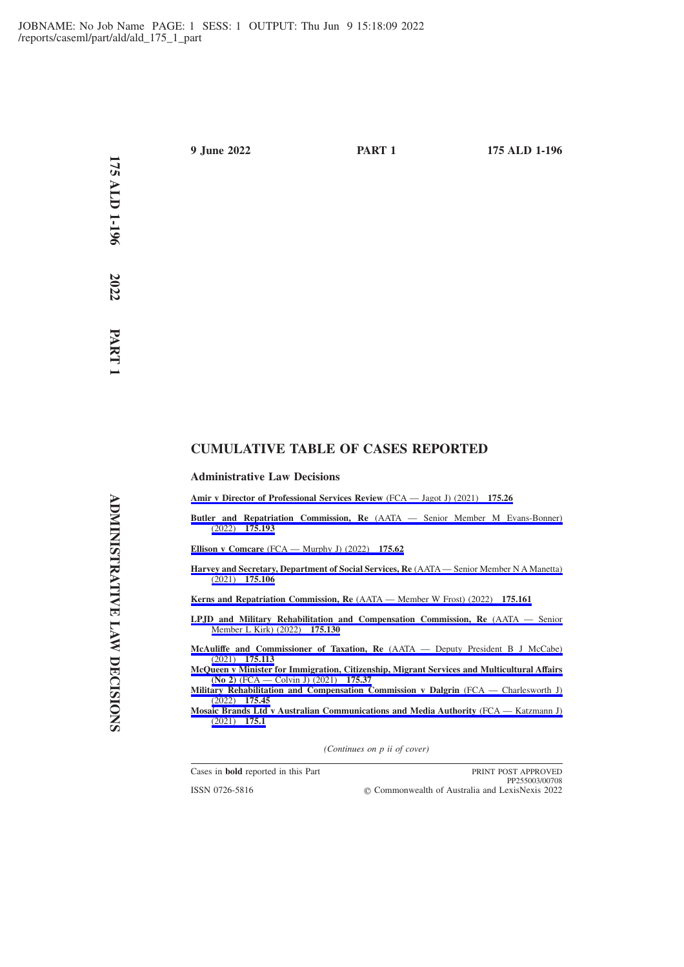**1**

# **CUMULATIVE TABLE OF CASES REPORTED**

## **Administrative Law Decisions**

**[Amir v Director of Professional Services Review](https://advance.lexis.com/api/permalink/d04a7ddd-5638-44ad-b5c9-7a59e072ccc1/?context=1201008)** (FCA — Jagot J) (2021) **175.26**

**Butler and Repatriation Commission, Re** [\(AATA — Senior Member M Evans-Bonner\)](https://advance.lexis.com/api/permalink/fc9bea4a-af1e-447b-8f2b-b378a99887cf/?context=1201008) (2022) **[175.193](https://advance.lexis.com/api/permalink/fc9bea4a-af1e-447b-8f2b-b378a99887cf/?context=1201008)**

**Ellison v Comcare** [\(FCA — Murphy J\) \(2022\)](https://advance.lexis.com/api/permalink/6c8feadc-bc54-4ecf-b71c-3038149e9d16/?context=1201008) **175.62**

**[Harvey and Secretary, Department of Social Services, Re](https://advance.lexis.com/api/permalink/846d6bd0-6638-4e75-bf44-82100a8bf3cb/?context=1201008)** (AATA — Senior Member N A Manetta) (2021) **[175.106](https://advance.lexis.com/api/permalink/846d6bd0-6638-4e75-bf44-82100a8bf3cb/?context=1201008)**

**[Kerns and Repatriation Commission, Re](https://advance.lexis.com/api/permalink/93b6ab03-df80-450a-b702-bc0a6a6bbbc6/?context=1201008)** (AATA — Member W Frost) (2022) **175.161**

**[LPJD and Military Rehabilitation and Compensation Commission, Re](https://advance.lexis.com/api/permalink/c595789b-19d7-4fdc-924c-a35522099218/?context=1201008)** (AATA — Senior [Member L Kirk\) \(2022\)](https://advance.lexis.com/api/permalink/c595789b-19d7-4fdc-924c-a35522099218/?context=1201008) **175.130**

**[McAuliffe and Commissioner of Taxation, Re](https://advance.lexis.com/api/permalink/f87b72d5-ca53-460d-98e1-8429cdc54b13/?context=1201008)** (AATA — Deputy President B J McCabe) (2021) **[175.113](https://advance.lexis.com/api/permalink/f87b72d5-ca53-460d-98e1-8429cdc54b13/?context=1201008)**

- **[McQueen v Minister for Immigration, Citizenship, Migrant Services and Multicultural Affairs](https://advance.lexis.com/api/permalink/ab4abaa8-07ff-4ab4-8172-2642d5ccc2c5/?context=1201008) (No 2)** [\(FCA — Colvin J\) \(2021\)](https://advance.lexis.com/api/permalink/ab4abaa8-07ff-4ab4-8172-2642d5ccc2c5/?context=1201008) **175.37**
- **[Military Rehabilitation and Compensation Commission v Dalgrin](https://advance.lexis.com/api/permalink/5022cc0b-8fa7-4d85-ab09-36e64d2b3437/?context=1201008)** (FCA Charlesworth J) (2022) **[175.45](https://advance.lexis.com/api/permalink/5022cc0b-8fa7-4d85-ab09-36e64d2b3437/?context=1201008)**

**[Mosaic Brands Ltd v Australian Communications and Media Authority](https://advance.lexis.com/api/permalink/a801f496-88e5-424a-a725-316a1f9874dd/?context=1201008)** (FCA — Katzmann J) [\(2021\)](https://advance.lexis.com/api/permalink/a801f496-88e5-424a-a725-316a1f9874dd/?context=1201008) **175.1**

*(Continues on p ii of cover)*

ISSN 0726-5816

Cases in **bold** reported in this Part **PRINT POST APPROVED** PP255003/00708 Commonwealth of Australia and LexisNexis 2022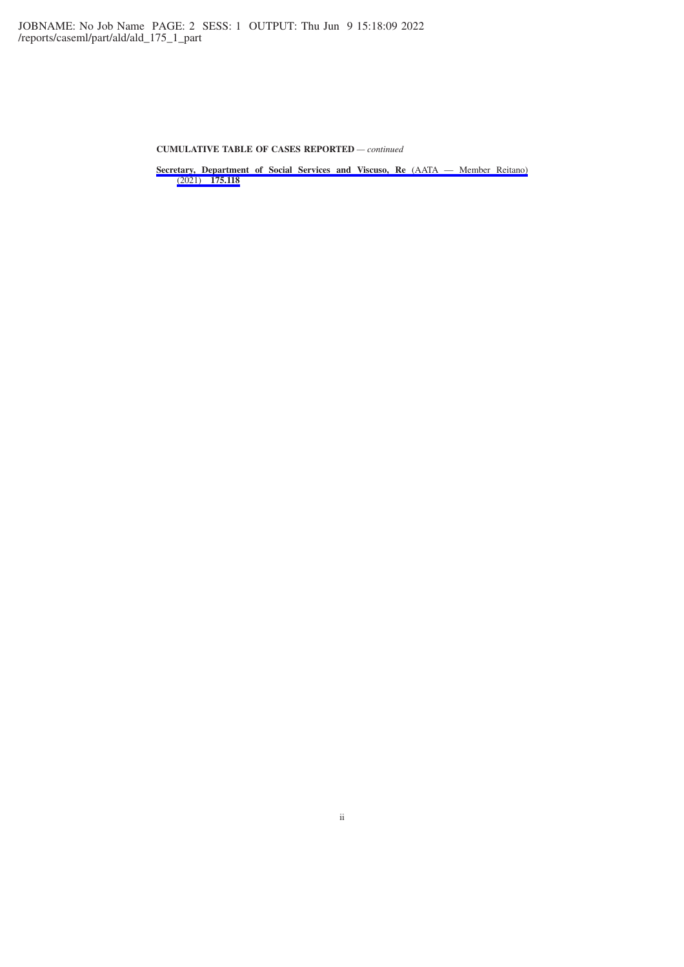**CUMULATIVE TABLE OF CASES REPORTED** *— continued*

**[Secretary, Department of Social Services and Viscuso, Re](https://advance.lexis.com/api/permalink/3482598a-d78d-4261-81ca-9fff48ec51f9/?context=1201008)** (AATA — Member Reitano) (2021) **[175.118](https://advance.lexis.com/api/permalink/3482598a-d78d-4261-81ca-9fff48ec51f9/?context=1201008)**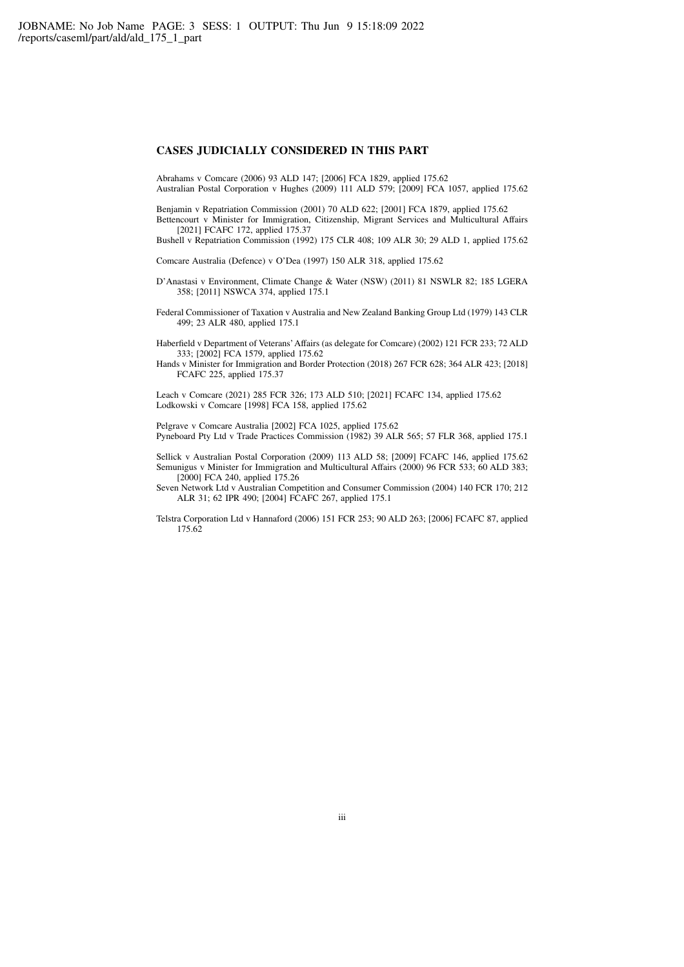# **CASES JUDICIALLY CONSIDERED IN THIS PART**

Abrahams v Comcare (2006) 93 ALD 147; [2006] FCA 1829, applied 175.62 Australian Postal Corporation v Hughes (2009) 111 ALD 579; [2009] FCA 1057, applied 175.62

Benjamin v Repatriation Commission (2001) 70 ALD 622; [2001] FCA 1879, applied 175.62 Bettencourt v Minister for Immigration, Citizenship, Migrant Services and Multicultural Affairs [2021] FCAFC 172, applied 175.37

Bushell v Repatriation Commission (1992) 175 CLR 408; 109 ALR 30; 29 ALD 1, applied 175.62

Comcare Australia (Defence) v O'Dea (1997) 150 ALR 318, applied 175.62

- D'Anastasi v Environment, Climate Change & Water (NSW) (2011) 81 NSWLR 82; 185 LGERA 358; [2011] NSWCA 374, applied 175.1
- Federal Commissioner of Taxation v Australia and New Zealand Banking Group Ltd (1979) 143 CLR 499; 23 ALR 480, applied 175.1

Haberfield v Department of Veterans'Affairs (as delegate for Comcare) (2002) 121 FCR 233; 72 ALD 333; [2002] FCA 1579, applied 175.62

Hands v Minister for Immigration and Border Protection (2018) 267 FCR 628; 364 ALR 423; [2018] FCAFC 225, applied 175.37

Leach v Comcare (2021) 285 FCR 326; 173 ALD 510; [2021] FCAFC 134, applied 175.62 Lodkowski v Comcare [1998] FCA 158, applied 175.62

Pelgrave v Comcare Australia [2002] FCA 1025, applied 175.62 Pyneboard Pty Ltd v Trade Practices Commission (1982) 39 ALR 565; 57 FLR 368, applied 175.1

Sellick v Australian Postal Corporation (2009) 113 ALD 58; [2009] FCAFC 146, applied 175.62 Semunigus v Minister for Immigration and Multicultural Affairs (2000) 96 FCR 533; 60 ALD 383; [2000] FCA 240, applied 175.26

- Seven Network Ltd v Australian Competition and Consumer Commission (2004) 140 FCR 170; 212 ALR 31; 62 IPR 490; [2004] FCAFC 267, applied 175.1
- Telstra Corporation Ltd v Hannaford (2006) 151 FCR 253; 90 ALD 263; [2006] FCAFC 87, applied 175.62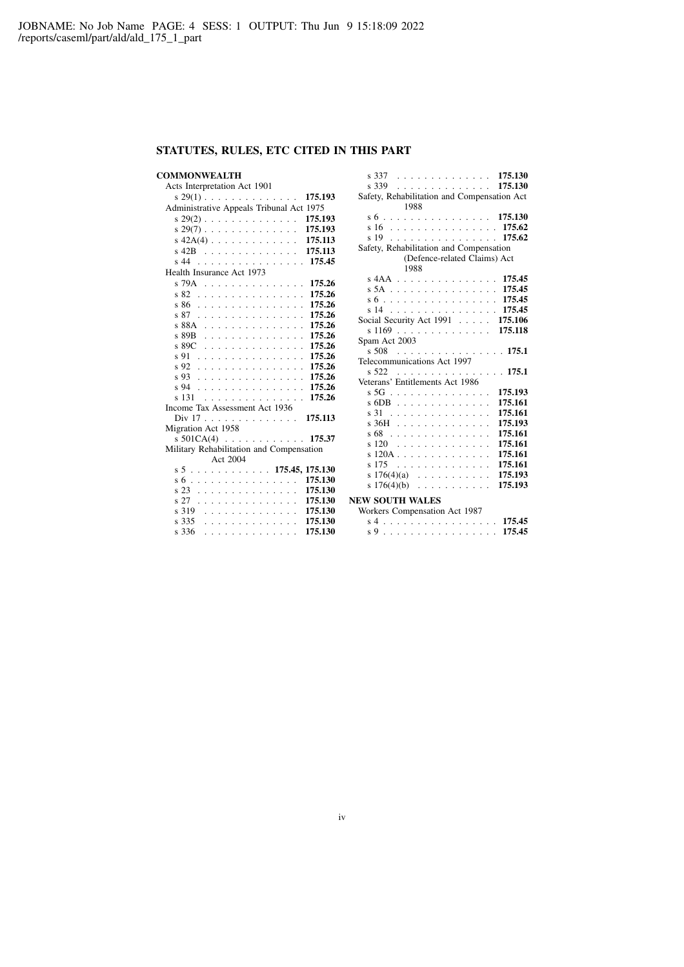# **STATUTES, RULES, ETC CITED IN THIS PART**

# **COMMONWEALTH**

| Acts Interpretation Act 1901             |  |  |  |  |  |  |  |  |  |
|------------------------------------------|--|--|--|--|--|--|--|--|--|
| $s$ 29(1) 175.193                        |  |  |  |  |  |  |  |  |  |
| Administrative Appeals Tribunal Act 1975 |  |  |  |  |  |  |  |  |  |
| $s$ 29(2) 175.193                        |  |  |  |  |  |  |  |  |  |
| $s$ 29(7) 175.193                        |  |  |  |  |  |  |  |  |  |
| $s$ 42A(4) 175.113                       |  |  |  |  |  |  |  |  |  |
| $s$ 42B 175.113                          |  |  |  |  |  |  |  |  |  |
| s 44 175.45                              |  |  |  |  |  |  |  |  |  |
| Health Insurance Act 1973                |  |  |  |  |  |  |  |  |  |
| s 79A 175.26                             |  |  |  |  |  |  |  |  |  |
| s 82 175.26                              |  |  |  |  |  |  |  |  |  |
| s 86 175.26                              |  |  |  |  |  |  |  |  |  |
| s 87 175.26                              |  |  |  |  |  |  |  |  |  |
| s 88A 175.26                             |  |  |  |  |  |  |  |  |  |
| $s89B$<br>175.26                         |  |  |  |  |  |  |  |  |  |
| $s89C$<br>175.26                         |  |  |  |  |  |  |  |  |  |
| s 91 175.26                              |  |  |  |  |  |  |  |  |  |
| s 92 175.26                              |  |  |  |  |  |  |  |  |  |
| s 93 175.26                              |  |  |  |  |  |  |  |  |  |
| s 94 175.26                              |  |  |  |  |  |  |  |  |  |
| s 131 175.26                             |  |  |  |  |  |  |  |  |  |
| Income Tax Assessment Act 1936           |  |  |  |  |  |  |  |  |  |
| Div 17 175.113                           |  |  |  |  |  |  |  |  |  |
| Migration Act 1958                       |  |  |  |  |  |  |  |  |  |
| s 501CA(4) 175.37                        |  |  |  |  |  |  |  |  |  |
| Military Rehabilitation and Compensation |  |  |  |  |  |  |  |  |  |
| Act 2004                                 |  |  |  |  |  |  |  |  |  |
|                                          |  |  |  |  |  |  |  |  |  |
| 175.130<br>s 6                           |  |  |  |  |  |  |  |  |  |
| 175.130<br>s 23                          |  |  |  |  |  |  |  |  |  |
| s 27 175.130                             |  |  |  |  |  |  |  |  |  |
| s 319 175.130                            |  |  |  |  |  |  |  |  |  |
| $s$ 335 175.130                          |  |  |  |  |  |  |  |  |  |
| s 336<br>175.130<br>.                    |  |  |  |  |  |  |  |  |  |

| s 337 175.130                                |         |  |  |  |  |  |  |  |
|----------------------------------------------|---------|--|--|--|--|--|--|--|
| . 175.130<br>s 339                           |         |  |  |  |  |  |  |  |
| Safety, Rehabilitation and Compensation Act  |         |  |  |  |  |  |  |  |
| 1988                                         |         |  |  |  |  |  |  |  |
| s 6 175.130                                  |         |  |  |  |  |  |  |  |
| s 16 175.62                                  |         |  |  |  |  |  |  |  |
| s 19 175.62                                  |         |  |  |  |  |  |  |  |
| Safety, Rehabilitation and Compensation      |         |  |  |  |  |  |  |  |
| (Defence-related Claims) Act                 |         |  |  |  |  |  |  |  |
| 1988                                         |         |  |  |  |  |  |  |  |
| s 4AA 175.45                                 |         |  |  |  |  |  |  |  |
| s 5A 175.45                                  |         |  |  |  |  |  |  |  |
| s 6 175.45                                   |         |  |  |  |  |  |  |  |
| s 14 175.45                                  |         |  |  |  |  |  |  |  |
| Social Security Act 1991 175.106             |         |  |  |  |  |  |  |  |
| s 1169 175.118                               |         |  |  |  |  |  |  |  |
| Spam Act 2003                                |         |  |  |  |  |  |  |  |
| s 508<br>. <b>175.1</b>                      |         |  |  |  |  |  |  |  |
| Telecommunications Act 1997                  |         |  |  |  |  |  |  |  |
| . 175.1<br>s 522                             |         |  |  |  |  |  |  |  |
| Veterans' Entitlements Act 1986              |         |  |  |  |  |  |  |  |
| s 5G                                         | 175.193 |  |  |  |  |  |  |  |
| $s$ 6DB $\ldots \ldots \ldots \ldots \ldots$ | 175.161 |  |  |  |  |  |  |  |
| s 31                                         | 175.161 |  |  |  |  |  |  |  |
| s 36H                                        | 175.193 |  |  |  |  |  |  |  |
| s 68                                         | 175.161 |  |  |  |  |  |  |  |
| s 120                                        | 175.161 |  |  |  |  |  |  |  |
| $s120A$                                      | 175.161 |  |  |  |  |  |  |  |
| $s$ 175                                      | 175.161 |  |  |  |  |  |  |  |
| s $176(4)(a)$                                | 175.193 |  |  |  |  |  |  |  |
| s $176(4)(b)$                                | 175.193 |  |  |  |  |  |  |  |
| <b>NEW SOUTH WALES</b>                       |         |  |  |  |  |  |  |  |
| Workers Compensation Act 1987                |         |  |  |  |  |  |  |  |
|                                              |         |  |  |  |  |  |  |  |

|  |  |  |  |  |  |  |  |  | s 4 175.45 |
|--|--|--|--|--|--|--|--|--|------------|
|  |  |  |  |  |  |  |  |  | s 9 175.45 |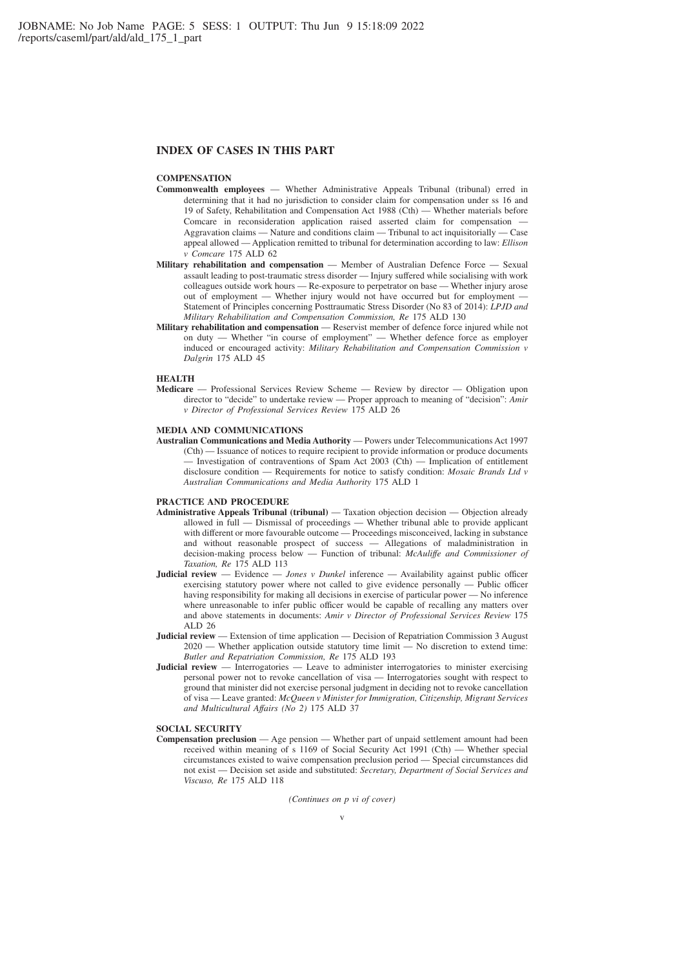# **INDEX OF CASES IN THIS PART**

# **COMPENSATION**

- **Commonwealth employees** Whether Administrative Appeals Tribunal (tribunal) erred in determining that it had no jurisdiction to consider claim for compensation under ss 16 and 19 of Safety, Rehabilitation and Compensation Act 1988 (Cth) — Whether materials before Comcare in reconsideration application raised asserted claim for compensation Aggravation claims — Nature and conditions claim — Tribunal to act inquisitorially — Case appeal allowed — Application remitted to tribunal for determination according to law: *Ellison v Comcare* 175 ALD 62
- **Military rehabilitation and compensation** Member of Australian Defence Force Sexual assault leading to post-traumatic stress disorder — Injury suffered while socialising with work colleagues outside work hours — Re-exposure to perpetrator on base — Whether injury arose out of employment — Whether injury would not have occurred but for employment — Statement of Principles concerning Posttraumatic Stress Disorder (No 83 of 2014): *LPJD and Military Rehabilitation and Compensation Commission, Re* 175 ALD 130
- **Military rehabilitation and compensation** Reservist member of defence force injured while not on duty — Whether "in course of employment" — Whether defence force as employer induced or encouraged activity: *Military Rehabilitation and Compensation Commission v Dalgrin* 175 ALD 45

### **HEALTH**

**Medicare** — Professional Services Review Scheme — Review by director — Obligation upon director to "decide" to undertake review — Proper approach to meaning of "decision": *Amir v Director of Professional Services Review* 175 ALD 26

#### **MEDIA AND COMMUNICATIONS**

**Australian Communications and Media Authority** — Powers under Telecommunications Act 1997 (Cth) — Issuance of notices to require recipient to provide information or produce documents — Investigation of contraventions of Spam Act 2003 (Cth) — Implication of entitlement disclosure condition — Requirements for notice to satisfy condition: *Mosaic Brands Ltd v Australian Communications and Media Authority* 175 ALD 1

#### **PRACTICE AND PROCEDURE**

- **Administrative Appeals Tribunal (tribunal)** Taxation objection decision Objection already allowed in full — Dismissal of proceedings — Whether tribunal able to provide applicant with different or more favourable outcome — Proceedings misconceived, lacking in substance and without reasonable prospect of success — Allegations of maladministration in decision-making process below — Function of tribunal: *McAuliffe and Commissioner of Taxation, Re* 175 ALD 113
- **Judicial review** Evidence *Jones v Dunkel* inference Availability against public officer exercising statutory power where not called to give evidence personally — Public officer having responsibility for making all decisions in exercise of particular power — No inference where unreasonable to infer public officer would be capable of recalling any matters over and above statements in documents: *Amir v Director of Professional Services Review* 175 ALD 26
- **Judicial review** Extension of time application Decision of Repatriation Commission 3 August  $2020$  — Whether application outside statutory time limit  $\overline{\phantom{a}}$  No discretion to extend time: *Butler and Repatriation Commission, Re* 175 ALD 193
- **Judicial review** Interrogatories Leave to administer interrogatories to minister exercising personal power not to revoke cancellation of visa — Interrogatories sought with respect to ground that minister did not exercise personal judgment in deciding not to revoke cancellation of visa — Leave granted: *McQueen v Minister for Immigration, Citizenship, Migrant Services and Multicultural Affairs (No 2)* 175 ALD 37

#### **SOCIAL SECURITY**

**Compensation preclusion** — Age pension — Whether part of unpaid settlement amount had been received within meaning of s 1169 of Social Security Act 1991 (Cth) — Whether special circumstances existed to waive compensation preclusion period — Special circumstances did not exist — Decision set aside and substituted: *Secretary, Department of Social Services and Viscuso, Re* 175 ALD 118

*(Continues on p vi of cover)*